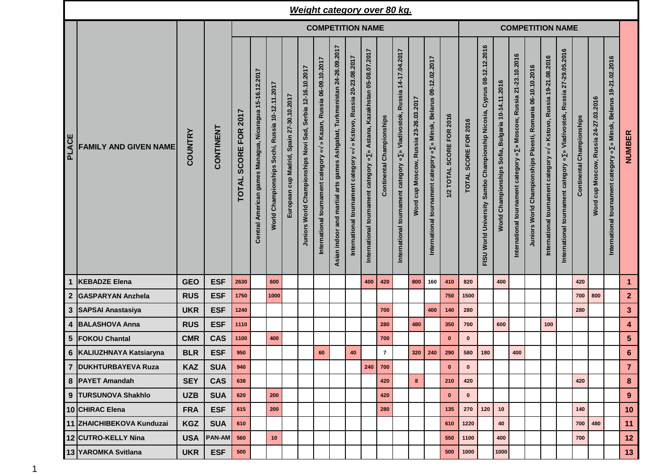|                  |                              |            |            |                                             |                                                         |                                                 |                                          |                                                            |                                                                      |                                                                             |                                                                                                            | <b>Weight category over 80 kg.</b>                                                        |                                  |                                                                                                               |                                                       |                                                                                                                          |                          |                         |                                                                                           |                                                                      |                                                                                                  |                                                                      |                                                                                             |                                                                            |                                  |                                       |                                                                       |                         |  |  |
|------------------|------------------------------|------------|------------|---------------------------------------------|---------------------------------------------------------|-------------------------------------------------|------------------------------------------|------------------------------------------------------------|----------------------------------------------------------------------|-----------------------------------------------------------------------------|------------------------------------------------------------------------------------------------------------|-------------------------------------------------------------------------------------------|----------------------------------|---------------------------------------------------------------------------------------------------------------|-------------------------------------------------------|--------------------------------------------------------------------------------------------------------------------------|--------------------------|-------------------------|-------------------------------------------------------------------------------------------|----------------------------------------------------------------------|--------------------------------------------------------------------------------------------------|----------------------------------------------------------------------|---------------------------------------------------------------------------------------------|----------------------------------------------------------------------------|----------------------------------|---------------------------------------|-----------------------------------------------------------------------|-------------------------|--|--|
|                  |                              |            |            | <b>COMPETITION NAME</b>                     |                                                         |                                                 |                                          |                                                            |                                                                      |                                                                             |                                                                                                            |                                                                                           |                                  |                                                                                                               |                                                       |                                                                                                                          |                          | <b>COMPETITION NAME</b> |                                                                                           |                                                                      |                                                                                                  |                                                                      |                                                                                             |                                                                            |                                  |                                       |                                                                       |                         |  |  |
| <b>PLACE</b>     | <b>FAMILY AND GIVEN NAME</b> | COUNTRY    | CONTINENT  | 2017<br><b>FOR</b><br>SCORE<br><b>TOTAL</b> | Central American games Managua, Nicaragua 15-16.12.2017 | Norld Championships Sochi, Russia 10-12.11.2017 | European cup Madrid, Spain 27-30.10.2017 | Juniors World Championships Novi Sad, Serbia 12-16.10.2017 | » Kazan, Russia 06-09.10.2017<br>International tournament category « | Ashgabat, Turkmenistan 24-26.09.2017<br>Asian indoor and martial arts games | Kstovo, Russia 20-23.08.2017<br>$\lambda$<br>$\boldsymbol{\tilde{s}}$<br>International tournament category | Astana, Kazakhstan 05-08.07.2017<br>$\boldsymbol{v}$<br>International tournament category | <b>Continental Championships</b> | Russia 14-17.04.2017<br>Vladivostok,<br>$\approx$<br>$\boldsymbol{v}$<br>category<br>International tournament | 23-26.03.2017<br><b>Russia</b><br>cup Moscow,<br>Word | Belarus 09-12.02.2017<br>Minsk,<br>$\hat{\mathbf{z}}$<br>$\check{\mathbf{v}}$<br>category<br>tournament<br>International | 1/2 TOTAL SCORE FOR 2016 | TOTAL SCORE FOR 2016    | Cyprus 08-12.12.2016<br>Championship Nicosia,<br>Sambo<br><b>World University</b><br>FISU | 10-14.11.2016<br><b>Bulgaria</b><br>Sofia,<br>Championships<br>World | 21-23.10.2016<br>» Moscow, Russia<br>$\,\mathbf{x}\,$<br>category<br>tournament<br>International | Championships Ploesti, Romania 06-10.10.2016<br><b>Juniors World</b> | » Kstovo, Russia 19-21.08.2016<br>$\check{\mathbf{z}}$<br>International tournament category | » Vladivostok, Russia 27-29.05.2016<br>International tournament category « | <b>Continental Championships</b> | Word cup Moscow, Russia 24-27.03.2016 | » Minsk, Belarus 19-21.02.2016<br>International tournament category « | NUMBER                  |  |  |
|                  | <b>KEBADZE Elena</b>         | <b>GEO</b> | <b>ESF</b> | 2630                                        |                                                         | 600                                             |                                          |                                                            |                                                                      |                                                                             |                                                                                                            | 400                                                                                       | 420                              |                                                                                                               | 800                                                   | 160                                                                                                                      | 410                      | 820                     |                                                                                           | 400                                                                  |                                                                                                  |                                                                      |                                                                                             |                                                                            | 420                              |                                       |                                                                       | $\mathbf{1}$            |  |  |
| $\boldsymbol{2}$ | <b>GASPARYAN Anzhela</b>     | <b>RUS</b> | <b>ESF</b> | 1750                                        |                                                         | 1000                                            |                                          |                                                            |                                                                      |                                                                             |                                                                                                            |                                                                                           |                                  |                                                                                                               |                                                       |                                                                                                                          | 750                      | 1500                    |                                                                                           |                                                                      |                                                                                                  |                                                                      |                                                                                             |                                                                            | 700                              | 800                                   |                                                                       | $\overline{2}$          |  |  |
|                  | 3 SAPSAI Anastasiya          | <b>UKR</b> | <b>ESF</b> | 1240                                        |                                                         |                                                 |                                          |                                                            |                                                                      |                                                                             |                                                                                                            |                                                                                           | 700                              |                                                                                                               |                                                       | 400                                                                                                                      | 140                      | 280                     |                                                                                           |                                                                      |                                                                                                  |                                                                      |                                                                                             |                                                                            | 280                              |                                       |                                                                       | $\mathbf{3}$            |  |  |
|                  | 4 BALASHOVA Anna             | <b>RUS</b> | <b>ESF</b> | 1110                                        |                                                         |                                                 |                                          |                                                            |                                                                      |                                                                             |                                                                                                            |                                                                                           | 280                              |                                                                                                               | 480                                                   |                                                                                                                          | 350                      | 700                     |                                                                                           | 600                                                                  |                                                                                                  |                                                                      | 100                                                                                         |                                                                            |                                  |                                       |                                                                       | $\overline{\mathbf{4}}$ |  |  |
|                  | 5 FOKOU Chantal              | <b>CMR</b> | <b>CAS</b> | 1100                                        |                                                         | 400                                             |                                          |                                                            |                                                                      |                                                                             |                                                                                                            |                                                                                           | 700                              |                                                                                                               |                                                       |                                                                                                                          | $\mathbf{0}$             | $\mathbf 0$             |                                                                                           |                                                                      |                                                                                                  |                                                                      |                                                                                             |                                                                            |                                  |                                       |                                                                       | $5\phantom{.0}$         |  |  |
|                  | 6 KALIUZHNAYA Katsiaryna     | <b>BLR</b> | <b>ESF</b> | 950                                         |                                                         |                                                 |                                          |                                                            | 60                                                                   |                                                                             | 40                                                                                                         |                                                                                           | $\overline{7}$                   |                                                                                                               | 320                                                   | 240                                                                                                                      | 290                      | 580                     | 180                                                                                       |                                                                      | 400                                                                                              |                                                                      |                                                                                             |                                                                            |                                  |                                       |                                                                       | $6\phantom{1}$          |  |  |
|                  | 7 DUKHTURBAYEVA Ruza         | <b>KAZ</b> | <b>SUA</b> | 940                                         |                                                         |                                                 |                                          |                                                            |                                                                      |                                                                             |                                                                                                            |                                                                                           | 240 700                          |                                                                                                               |                                                       |                                                                                                                          | $\mathbf 0$              | $\mathbf{0}$            |                                                                                           |                                                                      |                                                                                                  |                                                                      |                                                                                             |                                                                            |                                  |                                       |                                                                       | $\overline{7}$          |  |  |
|                  | 8 PAYET Amandah              | <b>SEY</b> | <b>CAS</b> | 638                                         |                                                         |                                                 |                                          |                                                            |                                                                      |                                                                             |                                                                                                            |                                                                                           | 420                              |                                                                                                               | 8                                                     |                                                                                                                          | 210                      | 420                     |                                                                                           |                                                                      |                                                                                                  |                                                                      |                                                                                             |                                                                            | 420                              |                                       |                                                                       | 8                       |  |  |
|                  | 9 TURSUNOVA Shakhlo          | <b>UZB</b> | <b>SUA</b> | 620                                         |                                                         | 200                                             |                                          |                                                            |                                                                      |                                                                             |                                                                                                            |                                                                                           | 420                              |                                                                                                               |                                                       |                                                                                                                          | $\mathbf{0}$             | $\mathbf 0$             |                                                                                           |                                                                      |                                                                                                  |                                                                      |                                                                                             |                                                                            |                                  |                                       |                                                                       | 9                       |  |  |
|                  | 10 CHIRAC Elena              | <b>FRA</b> | <b>ESF</b> | 615                                         |                                                         | 200                                             |                                          |                                                            |                                                                      |                                                                             |                                                                                                            |                                                                                           | 280                              |                                                                                                               |                                                       |                                                                                                                          | 135                      | 270                     | 120                                                                                       | 10                                                                   |                                                                                                  |                                                                      |                                                                                             |                                                                            | 140                              |                                       |                                                                       | 10                      |  |  |
|                  | 11 ZHAICHIBEKOVA Kunduzai    | <b>KGZ</b> | <b>SUA</b> | 610                                         |                                                         |                                                 |                                          |                                                            |                                                                      |                                                                             |                                                                                                            |                                                                                           |                                  |                                                                                                               |                                                       |                                                                                                                          | 610                      | 1220                    |                                                                                           | 40                                                                   |                                                                                                  |                                                                      |                                                                                             |                                                                            | 700                              | 480                                   |                                                                       | 11                      |  |  |
|                  | 12 CUTRO-KELLY Nina          | <b>USA</b> | PAN-AM     | 560                                         |                                                         | 10                                              |                                          |                                                            |                                                                      |                                                                             |                                                                                                            |                                                                                           |                                  |                                                                                                               |                                                       |                                                                                                                          | 550                      | 1100                    |                                                                                           | 400                                                                  |                                                                                                  |                                                                      |                                                                                             |                                                                            | 700                              |                                       |                                                                       | 12                      |  |  |
|                  | 13 YAROMKA Svitlana          | <b>UKR</b> | <b>ESF</b> | 500                                         |                                                         |                                                 |                                          |                                                            |                                                                      |                                                                             |                                                                                                            |                                                                                           |                                  |                                                                                                               |                                                       |                                                                                                                          | 500                      | 1000                    |                                                                                           | 1000                                                                 |                                                                                                  |                                                                      |                                                                                             |                                                                            |                                  |                                       |                                                                       | 13 <sup>°</sup>         |  |  |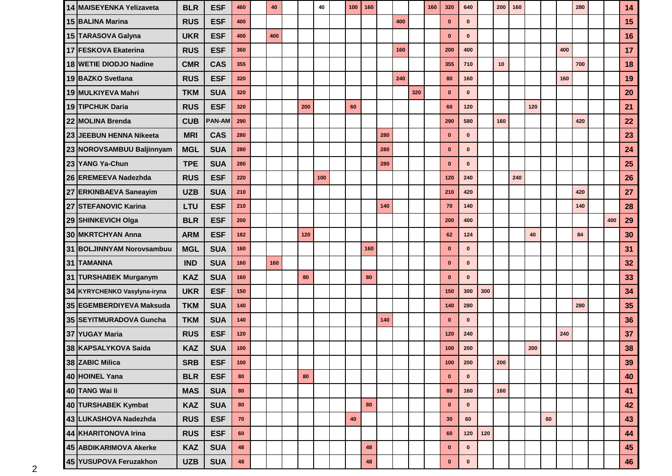| 14 MAISEYENKA Yelizaveta     | <b>BLR</b> | <b>ESF</b>    | 460        | 40  |     | 40  | 100 | 160 |     |     |     | 160 | 320          | 640          |     | 200 | 160 |     |    |     | 280 |     | 14 |
|------------------------------|------------|---------------|------------|-----|-----|-----|-----|-----|-----|-----|-----|-----|--------------|--------------|-----|-----|-----|-----|----|-----|-----|-----|----|
| 15 BALINA Marina             | <b>RUS</b> | <b>ESF</b>    | 400        |     |     |     |     |     |     | 400 |     |     | $\bf{0}$     | $\mathbf{0}$ |     |     |     |     |    |     |     |     | 15 |
| 15 TARASOVA Galyna           | <b>UKR</b> | <b>ESF</b>    | 400        | 400 |     |     |     |     |     |     |     |     | $\mathbf{0}$ | $\mathbf{0}$ |     |     |     |     |    |     |     |     | 16 |
| 17 FESKOVA Ekaterina         | <b>RUS</b> | <b>ESF</b>    | 360        |     |     |     |     |     |     | 160 |     |     | 200          | 400          |     |     |     |     |    | 400 |     |     | 17 |
| 18 WETIE DIODJO Nadine       | <b>CMR</b> | <b>CAS</b>    | 355        |     |     |     |     |     |     |     |     |     | 355          | 710          |     | 10  |     |     |    |     | 700 |     | 18 |
| 19 BAZKO Svetlana            | <b>RUS</b> | <b>ESF</b>    | 320        |     |     |     |     |     |     | 240 |     |     | 80           | 160          |     |     |     |     |    | 160 |     |     | 19 |
| 19 MULKIYEVA Mahri           | <b>TKM</b> | <b>SUA</b>    | 320        |     |     |     |     |     |     |     | 320 |     | $\mathbf 0$  | $\mathbf{0}$ |     |     |     |     |    |     |     |     | 20 |
| 19 TIPCHUK Daria             | <b>RUS</b> | <b>ESF</b>    | 320        |     | 200 |     | 60  |     |     |     |     |     | 60           | 120          |     |     |     | 120 |    |     |     |     | 21 |
| 22 MOLINA Brenda             | <b>CUB</b> | <b>PAN-AM</b> | 290        |     |     |     |     |     |     |     |     |     | 290          | 580          |     | 160 |     |     |    |     | 420 |     | 22 |
| 23 JEEBUN HENNA Nikeeta      | <b>MRI</b> | <b>CAS</b>    | 280        |     |     |     |     |     | 280 |     |     |     | $\mathbf{0}$ | $\mathbf{0}$ |     |     |     |     |    |     |     |     | 23 |
| 23 NOROVSAMBUU Baljinnyam    | <b>MGL</b> | <b>SUA</b>    | 280        |     |     |     |     |     | 280 |     |     |     | $\mathbf 0$  | $\mathbf{0}$ |     |     |     |     |    |     |     |     | 24 |
| 23 YANG Ya-Chun              | <b>TPE</b> | <b>SUA</b>    | 280        |     |     |     |     |     | 280 |     |     |     | $\mathbf 0$  | $\mathbf{0}$ |     |     |     |     |    |     |     |     | 25 |
| 26 EREMEEVA Nadezhda         | <b>RUS</b> | <b>ESF</b>    | 220        |     |     | 100 |     |     |     |     |     |     | 120          | 240          |     |     | 240 |     |    |     |     |     | 26 |
| 27 ERKINBAEVA Saneayim       | <b>UZB</b> | <b>SUA</b>    | 210        |     |     |     |     |     |     |     |     |     | 210          | 420          |     |     |     |     |    |     | 420 |     | 27 |
| 27 STEFANOVIC Karina         | LTU        | <b>ESF</b>    | 210        |     |     |     |     |     | 140 |     |     |     | 70           | 140          |     |     |     |     |    |     | 140 |     | 28 |
| 29 SHINKEVICH Olga           | <b>BLR</b> | <b>ESF</b>    | 200        |     |     |     |     |     |     |     |     |     | 200          | 400          |     |     |     |     |    |     |     | 400 | 29 |
| 30 MKRTCHYAN Anna            | <b>ARM</b> | <b>ESF</b>    | 182        |     | 120 |     |     |     |     |     |     |     | 62           | 124          |     |     |     | 40  |    |     | 84  |     | 30 |
| 31 BOLJINNYAM Norovsambuu    | <b>MGL</b> | <b>SUA</b>    | 160        |     |     |     |     | 160 |     |     |     |     | $\mathbf{0}$ | $\mathbf{0}$ |     |     |     |     |    |     |     |     | 31 |
| 31 TAMANNA                   | <b>IND</b> | <b>SUA</b>    | 160        | 160 |     |     |     |     |     |     |     |     | $\mathbf{0}$ | $\mathbf{0}$ |     |     |     |     |    |     |     |     | 32 |
| 31 TURSHABEK Murganym        | <b>KAZ</b> | <b>SUA</b>    | 160        |     | 80  |     |     | 80  |     |     |     |     | $\mathbf{0}$ | $\mathbf{0}$ |     |     |     |     |    |     |     |     | 33 |
| 34 KYRYCHENKO Vasylyna-iryna | <b>UKR</b> | <b>ESF</b>    | 150        |     |     |     |     |     |     |     |     |     | 150          | 300          | 300 |     |     |     |    |     |     |     | 34 |
| 35 EGEMBERDIYEVA Maksuda     | <b>TKM</b> | <b>SUA</b>    | 140        |     |     |     |     |     |     |     |     |     | 140          | 280          |     |     |     |     |    |     | 280 |     | 35 |
| 35 SEYITMURADOVA Guncha      | <b>TKM</b> | <b>SUA</b>    | 140        |     |     |     |     |     | 140 |     |     |     | $\mathbf{0}$ | $\mathbf{0}$ |     |     |     |     |    |     |     |     | 36 |
| 37 YUGAY Maria               | <b>RUS</b> | <b>ESF</b>    | 120        |     |     |     |     |     |     |     |     |     | 120          | 240          |     |     |     |     |    | 240 |     |     | 37 |
| 38 KAPSALYKOVA Saida         | <b>KAZ</b> | <b>SUA</b>    | 100        |     |     |     |     |     |     |     |     |     | 100          | 200          |     |     |     | 200 |    |     |     |     | 38 |
| 38 ZABIC Milica              | <b>SRB</b> | <b>ESF</b>    | 100        |     |     |     |     |     |     |     |     |     | $100$        | 200          |     | 200 |     |     |    |     |     |     | 39 |
| 40 HOINEL Yana               | <b>BLR</b> | <b>ESF</b>    | 80         |     | 80  |     |     |     |     |     |     |     | $\mathbf 0$  | $\mathbf{0}$ |     |     |     |     |    |     |     |     | 40 |
| 40 TANG Wai li               | <b>MAS</b> | <b>SUA</b>    | 80         |     |     |     |     |     |     |     |     |     | 80           | 160          |     | 160 |     |     |    |     |     |     | 41 |
| 40 TURSHABEK Kymbat          | <b>KAZ</b> | <b>SUA</b>    | 80         |     |     |     |     | 80  |     |     |     |     | $\mathbf 0$  | $\mathbf 0$  |     |     |     |     |    |     |     |     | 42 |
| 43 LUKASHOVA Nadezhda        | <b>RUS</b> | <b>ESF</b>    | ${\bf 70}$ |     |     |     | 40  |     |     |     |     |     | 30           | 60           |     |     |     |     | 60 |     |     |     | 43 |
| 44 KHARITONOVA Irina         | <b>RUS</b> | <b>ESF</b>    | 60         |     |     |     |     |     |     |     |     |     | 60           | 120          | 120 |     |     |     |    |     |     |     | 44 |
| 45 ABDIKARIMOVA Akerke       | <b>KAZ</b> | <b>SUA</b>    | 48         |     |     |     |     | 48  |     |     |     |     | $\mathbf 0$  | $\mathbf 0$  |     |     |     |     |    |     |     |     | 45 |
| 45 YUSUPOVA Feruzakhon       | <b>UZB</b> | <b>SUA</b>    | 48         |     |     |     |     | 48  |     |     |     |     | $\mathbf 0$  | $\mathbf 0$  |     |     |     |     |    |     |     |     | 46 |